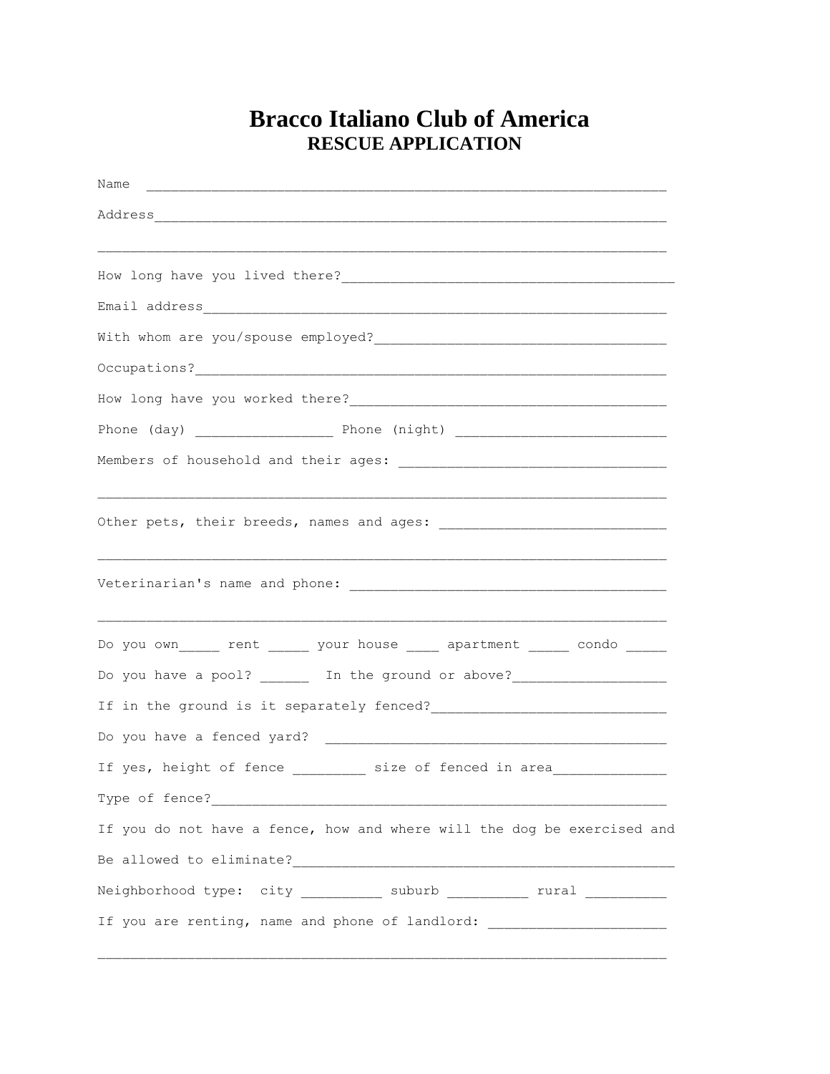## **Bracco Italiano Club of America RESCUE APPLICATION**

| Name                                                                             |
|----------------------------------------------------------------------------------|
|                                                                                  |
|                                                                                  |
|                                                                                  |
|                                                                                  |
|                                                                                  |
|                                                                                  |
|                                                                                  |
|                                                                                  |
|                                                                                  |
|                                                                                  |
|                                                                                  |
|                                                                                  |
|                                                                                  |
|                                                                                  |
| Do you own______ rent ______ your house _____ apartment ______ condo ______      |
| Do you have a pool? _______ In the ground or above?_____________________________ |
|                                                                                  |
|                                                                                  |
| If yes, height of fence __________ size of fenced in area ______________________ |
|                                                                                  |
| If you do not have a fence, how and where will the dog be exercised and          |
|                                                                                  |
| Neighborhood type: city __________ suburb __________ rural ___________           |
| If you are renting, name and phone of landlord: ________________________________ |